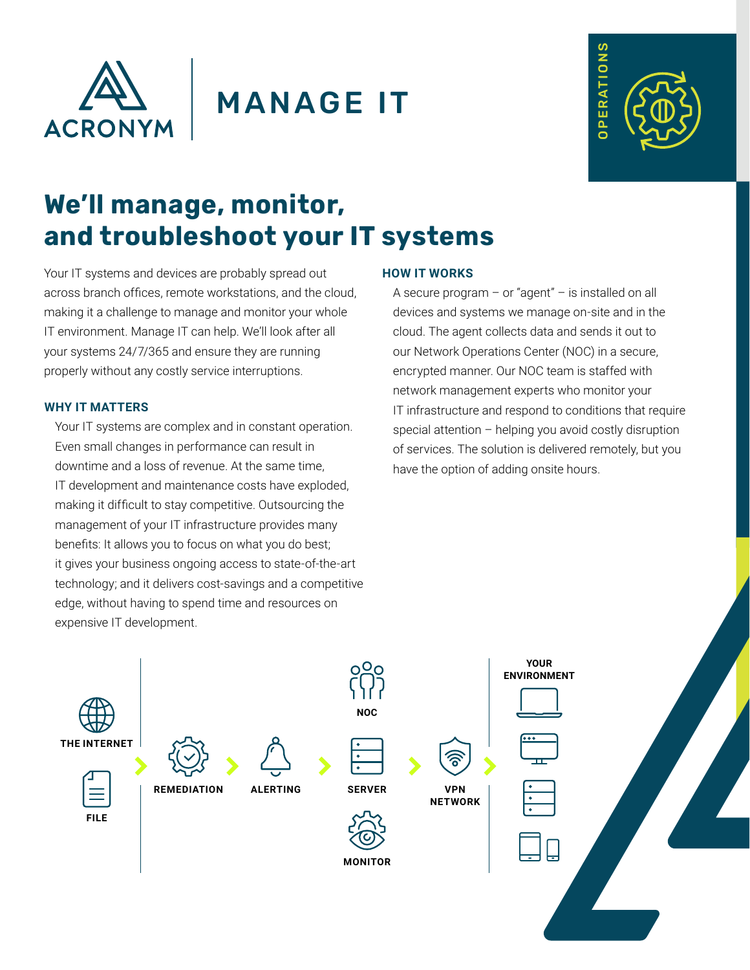

## MANAGE IT



# **We'll manage, monitor, and troubleshoot your IT systems**

Your IT systems and devices are probably spread out across branch offices, remote workstations, and the cloud, making it a challenge to manage and monitor your whole IT environment. Manage IT can help. We'll look after all your systems 24/7/365 and ensure they are running properly without any costly service interruptions.

## **WHY IT MATTERS**

Your IT systems are complex and in constant operation. Even small changes in performance can result in downtime and a loss of revenue. At the same time, IT development and maintenance costs have exploded, making it difficult to stay competitive. Outsourcing the management of your IT infrastructure provides many benefits: It allows you to focus on what you do best; it gives your business ongoing access to state-of-the-art technology; and it delivers cost-savings and a competitive edge, without having to spend time and resources on expensive IT development.

## **HOW IT WORKS**

A secure program – or "agent" – is installed on all devices and systems we manage on-site and in the cloud. The agent collects data and sends it out to our Network Operations Center (NOC) in a secure, encrypted manner. Our NOC team is staffed with network management experts who monitor your IT infrastructure and respond to conditions that require special attention – helping you avoid costly disruption of services. The solution is delivered remotely, but you have the option of adding onsite hours.